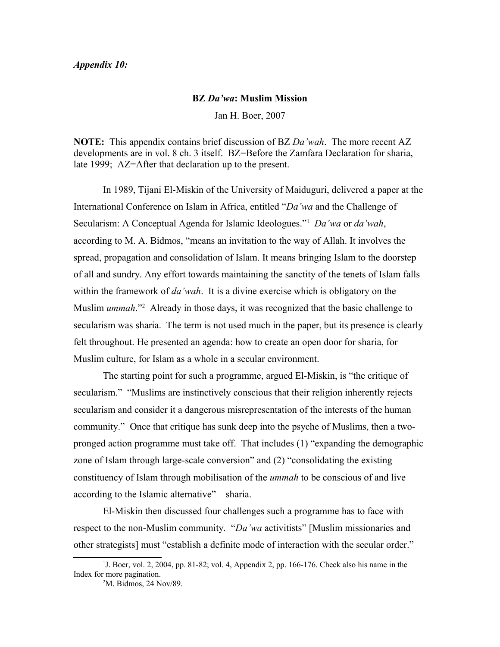## *Appendix 10:*

## **BZ** *Da'wa***: Muslim Mission**

Jan H. Boer, 2007

**NOTE:** This appendix contains brief discussion of BZ *Da'wah*. The more recent AZ developments are in vol. 8 ch. 3 itself. BZ=Before the Zamfara Declaration for sharia, late 1999; AZ=After that declaration up to the present.

In 1989, Tijani El-Miskin of the University of Maiduguri, delivered a paper at the International Conference on Islam in Africa, entitled "*Da'wa* and the Challenge of Secularism: A Conceptual Agenda for Islamic Ideologues."[1](#page-0-0) *Da'wa* or *da'wah*, according to M. A. Bidmos, "means an invitation to the way of Allah. It involves the spread, propagation and consolidation of Islam. It means bringing Islam to the doorstep of all and sundry. Any effort towards maintaining the sanctity of the tenets of Islam falls within the framework of *da'wah*. It is a divine exercise which is obligatory on the Muslim *ummah*."<sup>[2](#page-0-1)</sup> Already in those days, it was recognized that the basic challenge to secularism was sharia. The term is not used much in the paper, but its presence is clearly felt throughout. He presented an agenda: how to create an open door for sharia, for Muslim culture, for Islam as a whole in a secular environment.

The starting point for such a programme, argued El-Miskin, is "the critique of secularism." "Muslims are instinctively conscious that their religion inherently rejects secularism and consider it a dangerous misrepresentation of the interests of the human community." Once that critique has sunk deep into the psyche of Muslims, then a twopronged action programme must take off. That includes (1) "expanding the demographic zone of Islam through large-scale conversion" and (2) "consolidating the existing constituency of Islam through mobilisation of the *ummah* to be conscious of and live according to the Islamic alternative"—sharia.

El-Miskin then discussed four challenges such a programme has to face with respect to the non-Muslim community. "*Da'wa* activitists" [Muslim missionaries and other strategists] must "establish a definite mode of interaction with the secular order."

<sup>&</sup>lt;sup>1</sup>J. Boer, vol. 2, 2004, pp. 81-82; vol. 4, Appendix 2, pp. 166-176. Check also his name in the Index for more pagination.

<span id="page-0-1"></span><span id="page-0-0"></span><sup>2</sup>M. Bidmos, 24 Nov/89.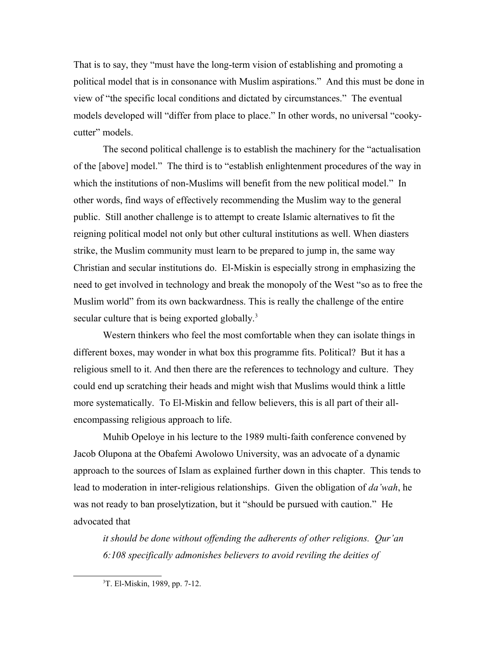That is to say, they "must have the long-term vision of establishing and promoting a political model that is in consonance with Muslim aspirations." And this must be done in view of "the specific local conditions and dictated by circumstances." The eventual models developed will "differ from place to place." In other words, no universal "cookycutter" models.

The second political challenge is to establish the machinery for the "actualisation of the [above] model." The third is to "establish enlightenment procedures of the way in which the institutions of non-Muslims will benefit from the new political model." In other words, find ways of effectively recommending the Muslim way to the general public. Still another challenge is to attempt to create Islamic alternatives to fit the reigning political model not only but other cultural institutions as well. When diasters strike, the Muslim community must learn to be prepared to jump in, the same way Christian and secular institutions do. El-Miskin is especially strong in emphasizing the need to get involved in technology and break the monopoly of the West "so as to free the Muslim world" from its own backwardness. This is really the challenge of the entire secular culture that is being exported globally. $3$ 

Western thinkers who feel the most comfortable when they can isolate things in different boxes, may wonder in what box this programme fits. Political? But it has a religious smell to it. And then there are the references to technology and culture. They could end up scratching their heads and might wish that Muslims would think a little more systematically. To El-Miskin and fellow believers, this is all part of their allencompassing religious approach to life.

Muhib Opeloye in his lecture to the 1989 multi-faith conference convened by Jacob Olupona at the Obafemi Awolowo University, was an advocate of a dynamic approach to the sources of Islam as explained further down in this chapter. This tends to lead to moderation in inter-religious relationships. Given the obligation of *da'wah*, he was not ready to ban proselytization, but it "should be pursued with caution." He advocated that

*it should be done without offending the adherents of other religions. Qur'an 6:108 specifically admonishes believers to avoid reviling the deities of* 

<span id="page-1-0"></span><sup>3</sup>T. El-Miskin, 1989, pp. 7-12.